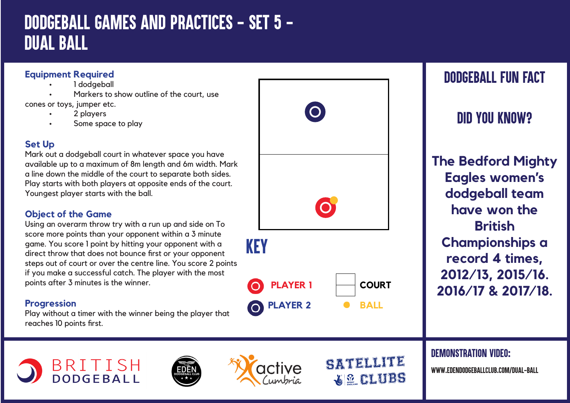# *DODGEBALL GAMES AND PRACTICES - SET 5 - DUAL BALL*

### **Equipment Required**

- 1 dodgeball
- Markers to show outline of the court, use

cones or toys, jumper etc.

- 2 players
- Some space to play

## **Set Up**

Mark out a dodgeball court in whatever space you have available up to a maximum of 8m length and 6m width. Mark a line down the middle of the court to separate both sides. Play starts with both players at opposite ends of the court. Youngest player starts with the ball.

## **Object of the Game**

Using an overarm throw try with a run up and side on To score more points than your opponent within a 3 minute game. You score 1 point by hitting your opponent with a direct throw that does not bounce first or your opponent steps out of court or over the centre line. You score 2 points if you make a successful catch. The player with the most points after 3 minutes is the winner.

### **Progression**

Play without a timer with the winner being the player that reaches 10 points first.

**BRITISH**<br>DODGEBALL



**BALL**

SATELLITE

**GLUBS** 

**PLAYER 2**



## *DID YOU KNOW?*

**The Bedford Mighty Eagles women's dodgeball team have won the British Championships a record 4 times, 2012/13, 2015/16. 2016/17 & 2017/18.**

#### *DEMONSTRATION VIDEO:*

*www.edendodgeballclub.com/dual-ball*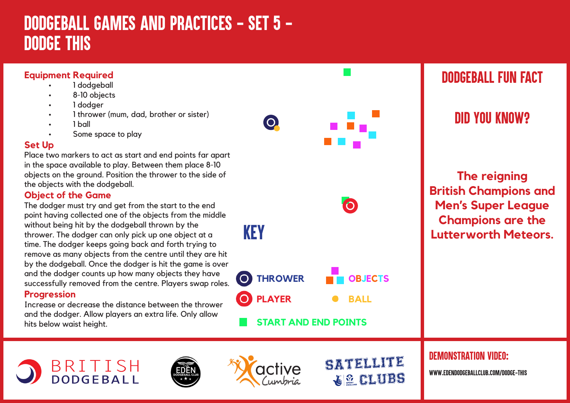# *DODGEBALL GAMES AND PRACTICES - SET 5 - DODGE THIS*

### **Equipment Required**

- 1 dodgeball
- 8-10 objects
- 1 dodger
- 1 thrower (mum, dad, brother or sister)
- • 1 ball
- Some space to play

#### **Set Up**

Place two markers to act as start and end points far apart in the space available to play. Between them place 8-10 objects on the ground. Position the thrower to the side of the objects with the dodgeball.

#### **Object of the Game**

The dodger must try and get from the start to the end point having collected one of the objects from the middle without being hit by the dodgeball thrown by the thrower. The dodger can only pick up one object at a time. The dodger keeps going back and forth trying to remove as many objects from the centre until they are hit by the dodgeball. Once the dodger is hit the game is over and the dodger counts up how many objects they have successfully removed from the centre. Players swap roles.

#### **Progression**

Increase or decrease the distance between the thrower and the dodger. Allow players an extra life. Only allow hits below waist height.

> BRITISH **DODGEBALL**





**PLAYER** 

**THROWER**

**START AND END POINTS**

KEY

 $\overline{O}$ 

SATELLITE **WE CLUBS** 

**OBJECTS**

**BALL**

 $\bullet$ 

## *DEMONSTRATION VIDEO:*

*www.edendodgeballclub.com/dodge-this*



*DID YOU KNOW?*

**The reigning British Champions and Men's Super League Champions are the Lutterworth Meteors.**